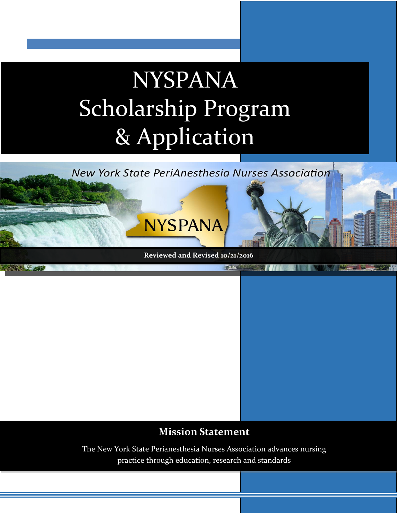# NYSPANA Scholarship Program & Application



### **Mission Statement**

The New York State Perianesthesia Nurses Association advances nursing practice through education, research and standards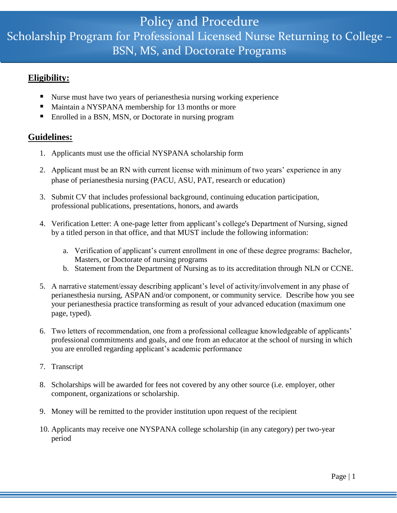## Scholarship Program for Professional Licensed Nurse Returning to College – Policy and Procedure BSN, MS, and Doctorate Programs

#### **Eligibility:**

- Nurse must have two years of perianes the sia nursing working experience
- **Maintain a NYSPANA membership for 13 months or more**
- Enrolled in a BSN, MSN, or Doctorate in nursing program

#### **Guidelines:**

- 1. Applicants must use the official NYSPANA scholarship form
- 2. Applicant must be an RN with current license with minimum of two years' experience in any phase of perianesthesia nursing (PACU, ASU, PAT, research or education)
- 3. Submit CV that includes professional background, continuing education participation, professional publications, presentations, honors, and awards
- 4. Verification Letter: A one-page letter from applicant's college's Department of Nursing, signed by a titled person in that office, and that MUST include the following information:
	- a. Verification of applicant's current enrollment in one of these degree programs: Bachelor, Masters, or Doctorate of nursing programs
	- b. Statement from the Department of Nursing as to its accreditation through NLN or CCNE.
- 5. A narrative statement/essay describing applicant's level of activity/involvement in any phase of perianesthesia nursing, ASPAN and/or component, or community service. Describe how you see your perianesthesia practice transforming as result of your advanced education (maximum one page, typed).
- 6. Two letters of recommendation, one from a professional colleague knowledgeable of applicants' professional commitments and goals, and one from an educator at the school of nursing in which you are enrolled regarding applicant's academic performance
- 7. Transcript
- 8. Scholarships will be awarded for fees not covered by any other source (i.e. employer, other component, organizations or scholarship.
- 9. Money will be remitted to the provider institution upon request of the recipient
- 10. Applicants may receive one NYSPANA college scholarship (in any category) per two-year period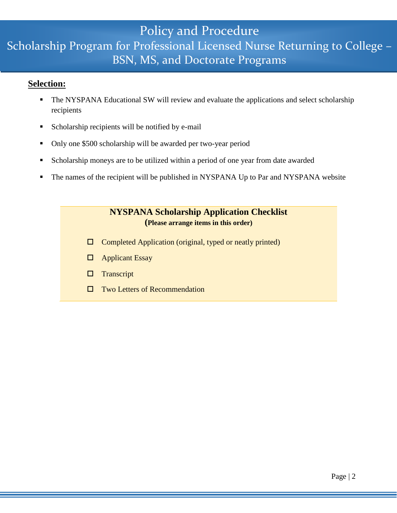## Policy and Procedure Scholarship Program for Professional Licensed Nurse Returning to College – BSN, MS, and Doctorate Programs

#### **Selection:**

- The NYSPANA Educational SW will review and evaluate the applications and select scholarship recipients
- Scholarship recipients will be notified by e-mail
- Only one \$500 scholarship will be awarded per two-year period
- Scholarship moneys are to be utilized within a period of one year from date awarded
- The names of the recipient will be published in NYSPANA Up to Par and NYSPANA website

#### **NYSPANA Scholarship Application Checklist (Please arrange items in this order)**

- $\Box$  Completed Application (original, typed or neatly printed)
- □ Applicant Essay
- $\square$  Transcript
- $\square$  Two Letters of Recommendation